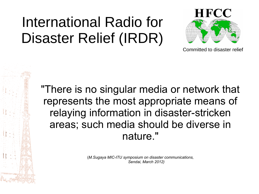# International Radio for Disaster Relief (IRDR)



Committed to disaster relief

"There is no singular media or network that represents the most appropriate means of relaying information in disaster-stricken areas; such media should be diverse in nature."

> (*M.Sugaya MIC-ITU symposium on disaster communications, Sendai, March 2012)*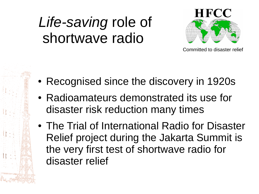# *Life-saving* role of shortwave radio



- Recognised since the discovery in 1920s
- Radioamateurs demonstrated its use for disaster risk reduction many times
- The Trial of International Radio for Disaster Relief project during the Jakarta Summit is the very first test of shortwave radio for disaster relief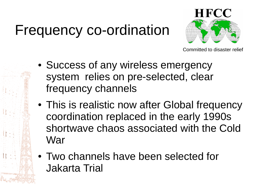# Frequency co-ordination



- Success of any wireless emergency system relies on pre-selected, clear frequency channels
- This is realistic now after Global frequency coordination replaced in the early 1990s shortwave chaos associated with the Cold War
- Two channels have been selected for Jakarta Trial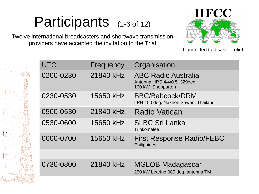# Participants (1-6 of 12)

Twelve international broadcasters and shortwave transmission providers have accepted the invitation to the Trial



| <b>UTC</b> | Frequency | Organisation                                                                   |
|------------|-----------|--------------------------------------------------------------------------------|
| 0200-0230  | 21840 kHz | <b>ABC Radio Australia</b><br>Antenna HRS 4/4/0.5, 329deg<br>100 kW Shepparton |
| 0230-0530  | 15650 kHz | <b>BBC/Babcock/DRM</b><br>LPH 150 deg. Nakhon Sawan, Thailand                  |
| 0500-0530  | 21840 kHz | <b>Radio Vatican</b>                                                           |
| 0530-0600  | 15650 kHz | <b>SLBC Sri Lanka</b><br><b>Trinkomalee</b>                                    |
| 0600-0700  | 15650 kHz | <b>First Response Radio/FEBC</b><br>Philippines                                |
|            |           |                                                                                |
| 0730-0800  | 21840 kHz | <b>MGLOB Madagascar</b><br>250 kW bearing 085 deg. antenna TM                  |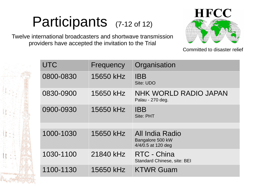# Participants (7-12 of 12)

Twelve international broadcasters and shortwave transmission providers have accepted the invitation to the Trial



| <b>UTC</b> | Frequency | Organisation                                                     |
|------------|-----------|------------------------------------------------------------------|
| 0800-0830  | 15650 kHz | <b>IBB</b><br>Site: UDO                                          |
| 0830-0900  | 15650 kHz | <b>NHK WORLD RADIO JAPAN</b><br>Palau - 270 deg.                 |
| 0900-0930  | 15650 kHz | <b>IBB</b><br>Site: PHT                                          |
| 1000-1030  | 15650 kHz | <b>All India Radio</b><br>Bangalore 500 kW<br>4/4/0.5 at 120 deg |
| 1030-1100  | 21840 kHz | RTC - China<br><b>Standard Chinese, site: BEI</b>                |
| 1100-1130  | 15650 kHz | <b>KTWR Guam</b>                                                 |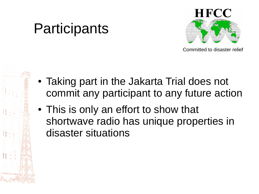## Participants



- Taking part in the Jakarta Trial does not commit any participant to any future action
- This is only an effort to show that shortwave radio has unique properties in disaster situations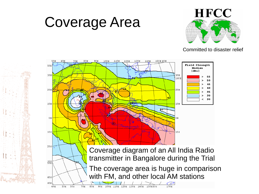## Coverage Area



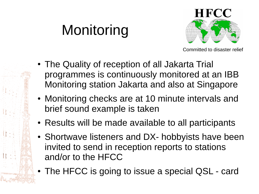# Monitoring



- The Quality of reception of all Jakarta Trial programmes is continuously monitored at an IBB Monitoring station Jakarta and also at Singapore
- Monitoring checks are at 10 minute intervals and brief sound example is taken
- Results will be made available to all participants
- Shortwave listeners and DX- hobbyists have been invited to send in reception reports to stations and/or to the HFCC
- The HFCC is going to issue a special QSL card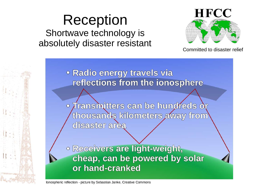### Reception Shortwave technology is absolutely disaster resistant



Committed to disaster relief

· Radio energy travels via reflections from the ionosphere

· Transmitters can be hundreds or thousands kilometers away from disaster area

· Receivers are light-weight, cheap, can be powered by solar or hand-cranked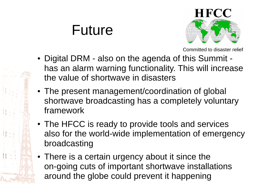### Future



- Digital DRM also on the agenda of this Summit has an alarm warning functionality. This will increase the value of shortwave in disasters
- The present management/coordination of global shortwave broadcasting has a completely voluntary framework
- The HFCC is ready to provide tools and services also for the world-wide implementation of emergency broadcasting
- There is a certain urgency about it since the on-going cuts of important shortwave installations around the globe could prevent it happening